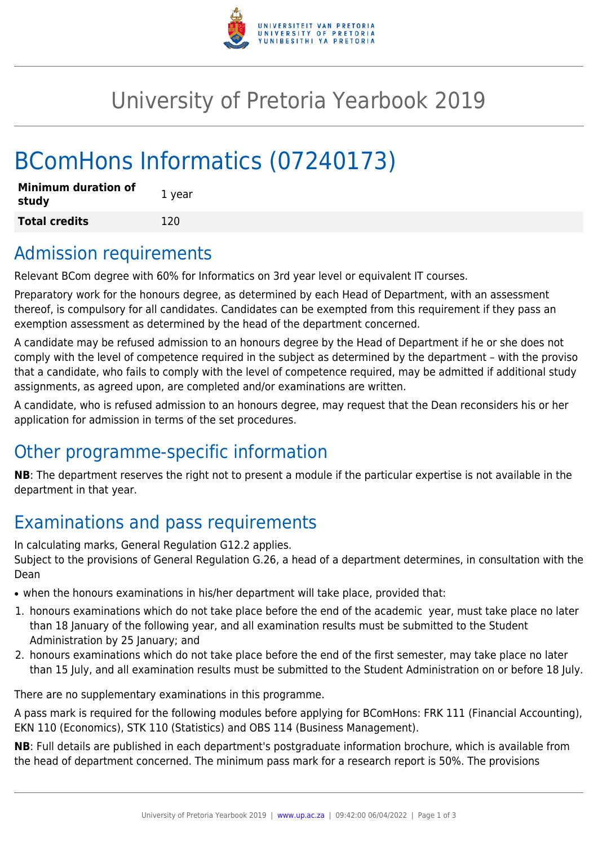

## University of Pretoria Yearbook 2019

# BComHons Informatics (07240173)

| <b>Minimum duration of</b><br>study | 1 year |
|-------------------------------------|--------|
| <b>Total credits</b>                | 120    |

### Admission requirements

Relevant BCom degree with 60% for Informatics on 3rd year level or equivalent IT courses.

Preparatory work for the honours degree, as determined by each Head of Department, with an assessment thereof, is compulsory for all candidates. Candidates can be exempted from this requirement if they pass an exemption assessment as determined by the head of the department concerned.

A candidate may be refused admission to an honours degree by the Head of Department if he or she does not comply with the level of competence required in the subject as determined by the department – with the proviso that a candidate, who fails to comply with the level of competence required, may be admitted if additional study assignments, as agreed upon, are completed and/or examinations are written.

A candidate, who is refused admission to an honours degree, may request that the Dean reconsiders his or her application for admission in terms of the set procedures.

### Other programme-specific information

**NB**: The department reserves the right not to present a module if the particular expertise is not available in the department in that year.

### Examinations and pass requirements

In calculating marks, General Regulation G12.2 applies.

Subject to the provisions of General Regulation G.26, a head of a department determines, in consultation with the Dean

- when the honours examinations in his/her department will take place, provided that:
- 1. honours examinations which do not take place before the end of the academic year, must take place no later than 18 January of the following year, and all examination results must be submitted to the Student Administration by 25 January; and
- 2. honours examinations which do not take place before the end of the first semester, may take place no later than 15 July, and all examination results must be submitted to the Student Administration on or before 18 July.

There are no supplementary examinations in this programme.

A pass mark is required for the following modules before applying for BComHons: FRK 111 (Financial Accounting), EKN 110 (Economics), STK 110 (Statistics) and OBS 114 (Business Management).

**NB**: Full details are published in each department's postgraduate information brochure, which is available from the head of department concerned. The minimum pass mark for a research report is 50%. The provisions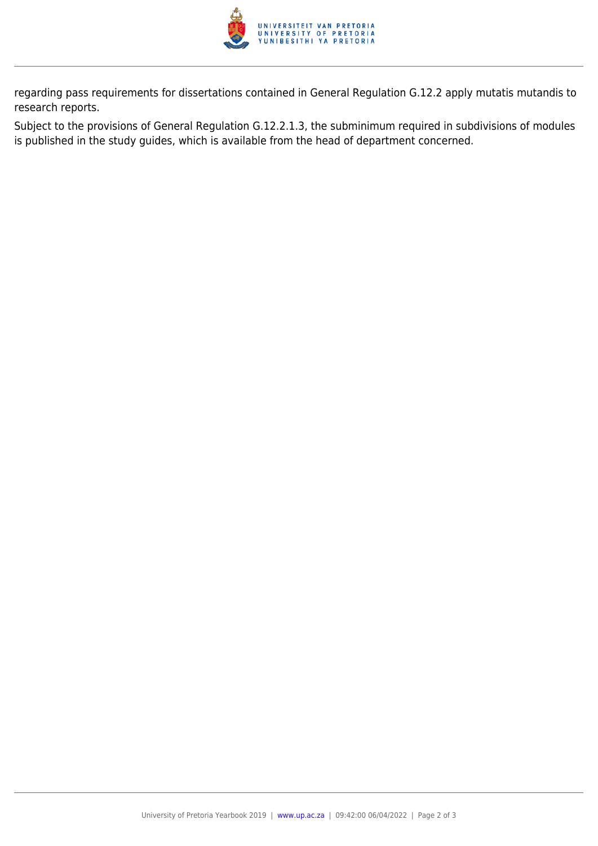

regarding pass requirements for dissertations contained in General Regulation G.12.2 apply mutatis mutandis to research reports.

Subject to the provisions of General Regulation G.12.2.1.3, the subminimum required in subdivisions of modules is published in the study guides, which is available from the head of department concerned.